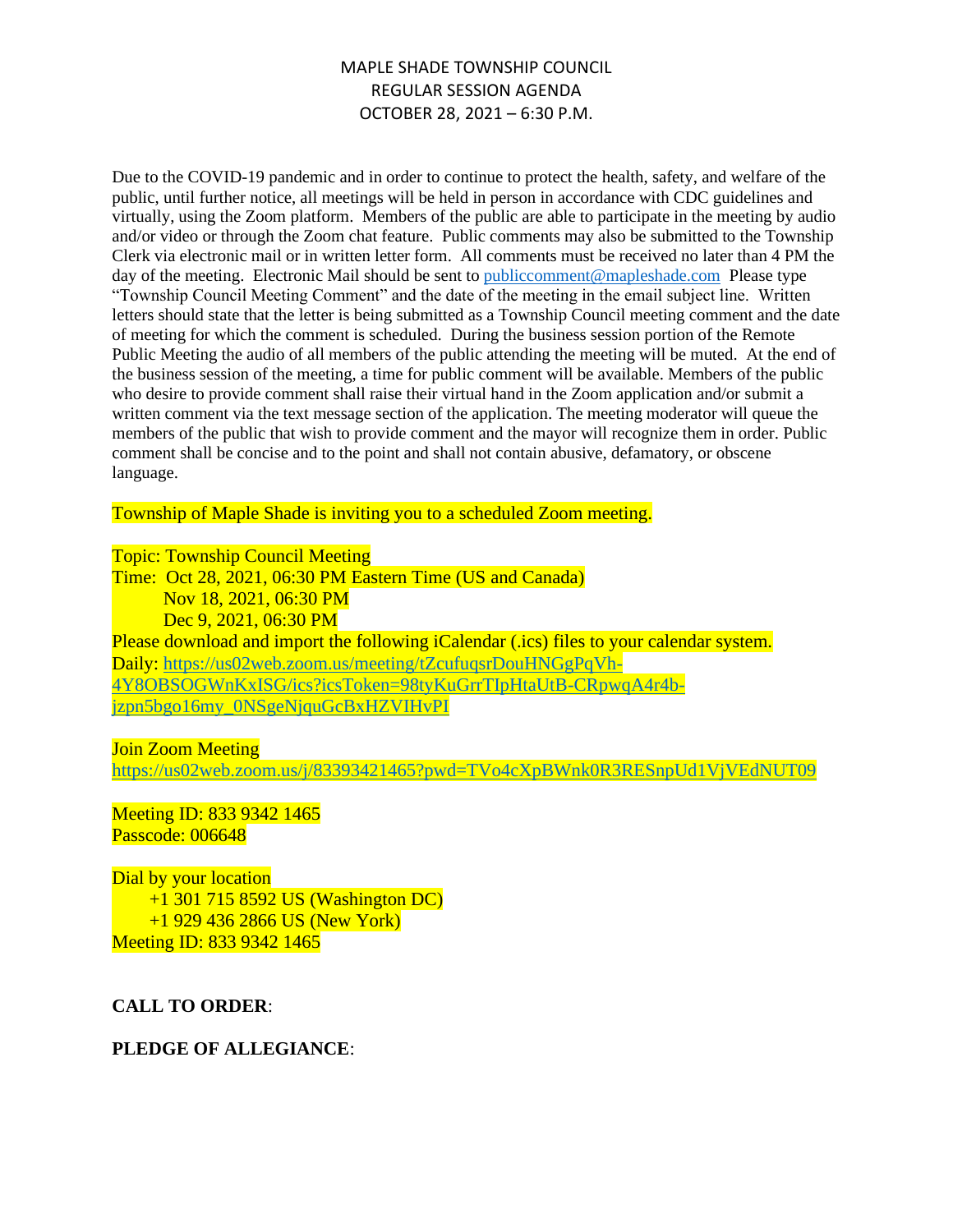# MAPLE SHADE TOWNSHIP COUNCIL REGULAR SESSION AGENDA OCTOBER 28, 2021 – 6:30 P.M.

Due to the COVID-19 pandemic and in order to continue to protect the health, safety, and welfare of the public, until further notice, all meetings will be held in person in accordance with CDC guidelines and virtually, using the Zoom platform. Members of the public are able to participate in the meeting by audio and/or video or through the Zoom chat feature. Public comments may also be submitted to the Township Clerk via electronic mail or in written letter form. All comments must be received no later than 4 PM the day of the meeting. Electronic Mail should be sent to [publiccomment@mapleshade.com](mailto:publiccomment@mapleshade.com) Please type "Township Council Meeting Comment" and the date of the meeting in the email subject line. Written letters should state that the letter is being submitted as a Township Council meeting comment and the date of meeting for which the comment is scheduled. During the business session portion of the Remote Public Meeting the audio of all members of the public attending the meeting will be muted. At the end of the business session of the meeting, a time for public comment will be available. Members of the public who desire to provide comment shall raise their virtual hand in the Zoom application and/or submit a written comment via the text message section of the application. The meeting moderator will queue the members of the public that wish to provide comment and the mayor will recognize them in order. Public comment shall be concise and to the point and shall not contain abusive, defamatory, or obscene language.

Township of Maple Shade is inviting you to a scheduled Zoom meeting.

#### Topic: Township Council Meeting

Time: Oct 28, 2021, 06:30 PM Eastern Time (US and Canada) Nov 18, 2021, 06:30 PM Dec 9, 2021, 06:30 PM Please download and import the following iCalendar (.ics) files to your calendar system. Daily: [https://us02web.zoom.us/meeting/tZcufuqsrDouHNGgPqVh-](https://us02web.zoom.us/meeting/tZcufuqsrDouHNGgPqVh-4Y8OBSOGWnKxISG/ics?icsToken=98tyKuGrrTIpHtaUtB-CRpwqA4r4b-jzpn5bgo16my_0NSgeNjquGcBxHZVIHvPI)[4Y8OBSOGWnKxISG/ics?icsToken=98tyKuGrrTIpHtaUtB-CRpwqA4r4b](https://us02web.zoom.us/meeting/tZcufuqsrDouHNGgPqVh-4Y8OBSOGWnKxISG/ics?icsToken=98tyKuGrrTIpHtaUtB-CRpwqA4r4b-jzpn5bgo16my_0NSgeNjquGcBxHZVIHvPI)[jzpn5bgo16my\\_0NSgeNjquGcBxHZVIHvPI](https://us02web.zoom.us/meeting/tZcufuqsrDouHNGgPqVh-4Y8OBSOGWnKxISG/ics?icsToken=98tyKuGrrTIpHtaUtB-CRpwqA4r4b-jzpn5bgo16my_0NSgeNjquGcBxHZVIHvPI)

#### Join Zoom Meeting

<https://us02web.zoom.us/j/83393421465?pwd=TVo4cXpBWnk0R3RESnpUd1VjVEdNUT09>

Meeting ID: 833 9342 1465 Passcode: 006648

Dial by your location +1 301 715 8592 US (Washington DC) +1 929 436 2866 US (New York) Meeting ID: 833 9342 1465

### **CALL TO ORDER**:

### **PLEDGE OF ALLEGIANCE**: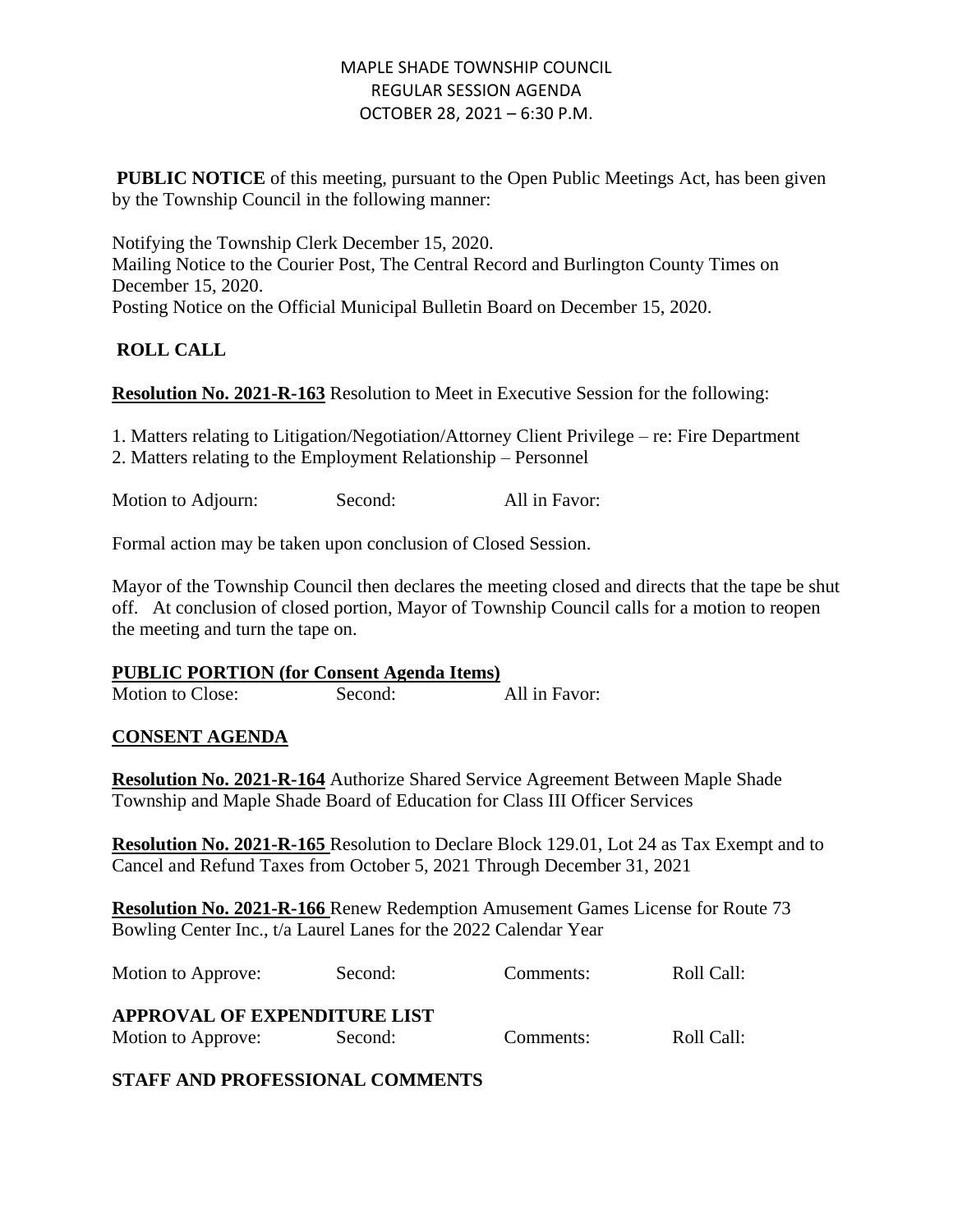# MAPLE SHADE TOWNSHIP COUNCIL REGULAR SESSION AGENDA OCTOBER 28, 2021 – 6:30 P.M.

**PUBLIC NOTICE** of this meeting, pursuant to the Open Public Meetings Act, has been given by the Township Council in the following manner:

Notifying the Township Clerk December 15, 2020. Mailing Notice to the Courier Post, The Central Record and Burlington County Times on December 15, 2020. Posting Notice on the Official Municipal Bulletin Board on December 15, 2020.

# **ROLL CALL**

**Resolution No. 2021-R-163** Resolution to Meet in Executive Session for the following:

1. Matters relating to Litigation/Negotiation/Attorney Client Privilege – re: Fire Department 2. Matters relating to the Employment Relationship – Personnel

Motion to Adjourn: Second: All in Favor:

Formal action may be taken upon conclusion of Closed Session.

Mayor of the Township Council then declares the meeting closed and directs that the tape be shut off. At conclusion of closed portion, Mayor of Township Council calls for a motion to reopen the meeting and turn the tape on.

| <b>PUBLIC PORTION (for Consent Agenda Items)</b> |
|--------------------------------------------------|
|                                                  |

Motion to Close: Second: All in Favor:

### **CONSENT AGENDA**

**Resolution No. 2021-R-164** Authorize Shared Service Agreement Between Maple Shade Township and Maple Shade Board of Education for Class III Officer Services

**Resolution No. 2021-R-165** Resolution to Declare Block 129.01, Lot 24 as Tax Exempt and to Cancel and Refund Taxes from October 5, 2021 Through December 31, 2021

**Resolution No. 2021-R-166** Renew Redemption Amusement Games License for Route 73 Bowling Center Inc., t/a Laurel Lanes for the 2022 Calendar Year

| Motion to Approve:                  | Second: | Comments: | Roll Call: |
|-------------------------------------|---------|-----------|------------|
| <b>APPROVAL OF EXPENDITURE LIST</b> |         |           |            |
| Motion to Approve:                  | Second: | Comments: | Roll Call: |

**STAFF AND PROFESSIONAL COMMENTS**